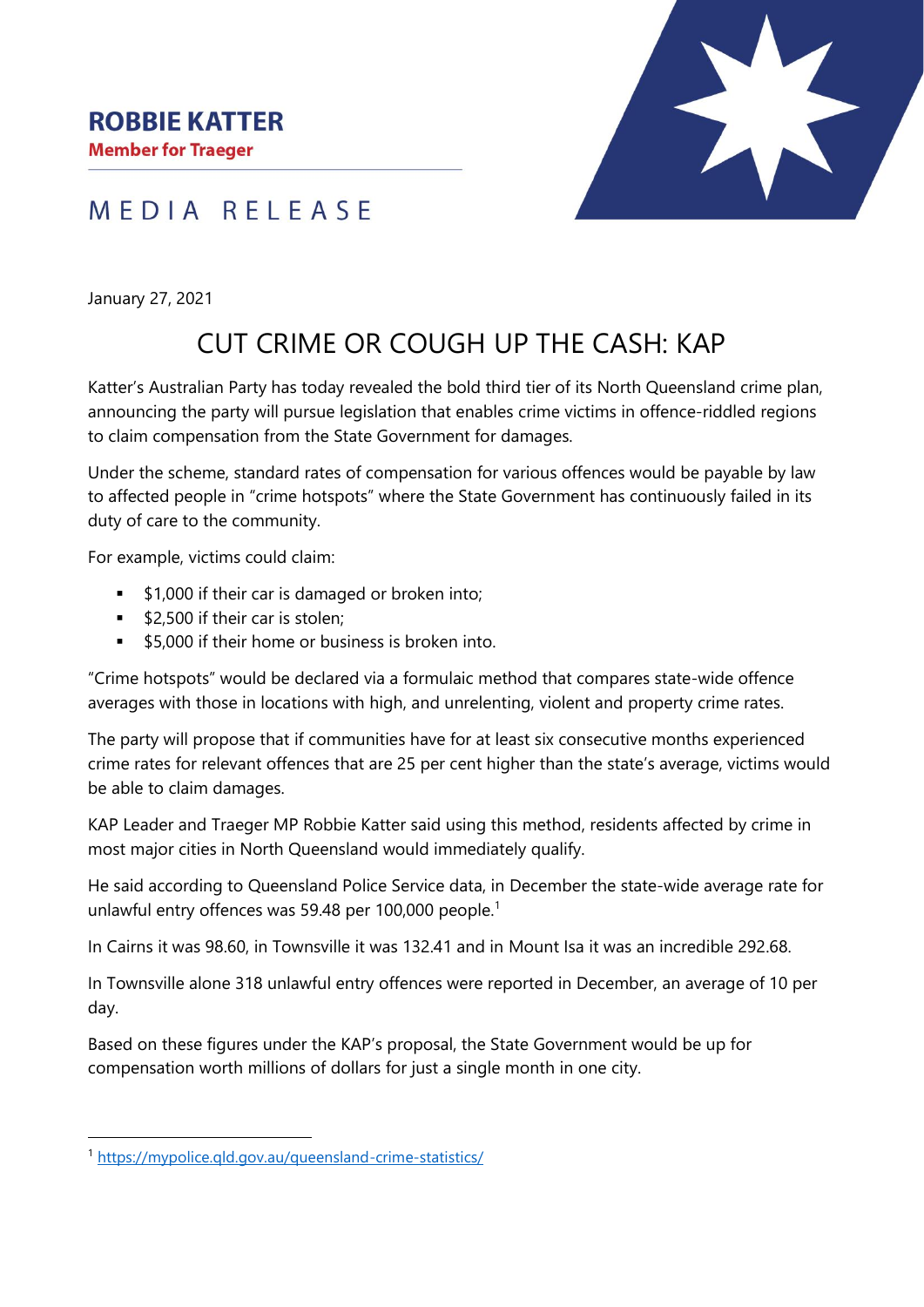**Member for Traeger** 

## MEDIA RELEASE

January 27, 2021

## CUT CRIME OR COUGH UP THE CASH: KAP

Katter's Australian Party has today revealed the bold third tier of its North Queensland crime plan, announcing the party will pursue legislation that enables crime victims in offence-riddled regions to claim compensation from the State Government for damages.

Under the scheme, standard rates of compensation for various offences would be payable by law to affected people in "crime hotspots" where the State Government has continuously failed in its duty of care to the community.

For example, victims could claim:

- \$1,000 if their car is damaged or broken into;
- \$2,500 if their car is stolen:
- \$5,000 if their home or business is broken into.

"Crime hotspots" would be declared via a formulaic method that compares state-wide offence averages with those in locations with high, and unrelenting, violent and property crime rates.

The party will propose that if communities have for at least six consecutive months experienced crime rates for relevant offences that are 25 per cent higher than the state's average, victims would be able to claim damages.

KAP Leader and Traeger MP Robbie Katter said using this method, residents affected by crime in most major cities in North Queensland would immediately qualify.

He said according to Queensland Police Service data, in December the state-wide average rate for unlawful entry offences was 59.48 per 100,000 people.<sup>1</sup>

In Cairns it was 98.60, in Townsville it was 132.41 and in Mount Isa it was an incredible 292.68.

In Townsville alone 318 unlawful entry offences were reported in December, an average of 10 per day.

Based on these figures under the KAP's proposal, the State Government would be up for compensation worth millions of dollars for just a single month in one city.

<sup>1</sup> <https://mypolice.qld.gov.au/queensland-crime-statistics/>